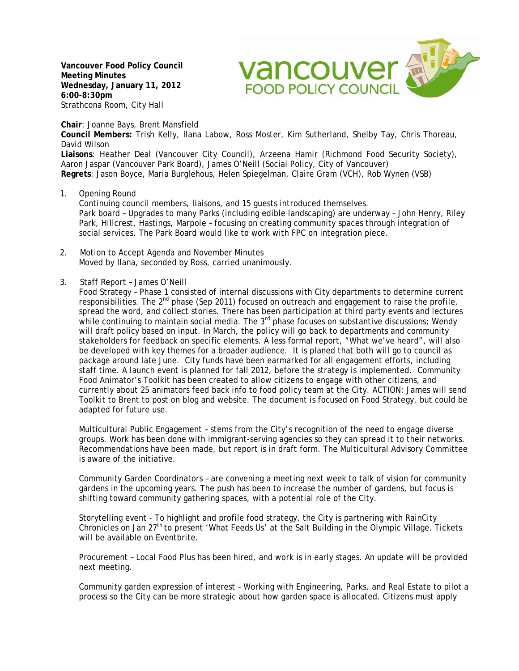**Vancouver Food Policy Council Meeting Minutes Wednesday, January 11, 2012 6:00-8:30pm**  Strathcona Room, City Hall

**Chair**: Joanne Bays, Brent Mansfield

**Council Members:** Trish Kelly, Ilana Labow, Ross Moster, Kim Sutherland, Shelby Tay, Chris Thoreau, David Wilson

vancouver ave

**FOOD POLICY COUNCIL** 

**Liaisons**: Heather Deal (Vancouver City Council), Arzeena Hamir (Richmond Food Security Society), Aaron Jaspar (Vancouver Park Board), James O'Neill (Social Policy, City of Vancouver) **Regrets**: Jason Boyce, Maria Burglehous, Helen Spiegelman, Claire Gram (VCH), Rob Wynen (VSB)

1. Opening Round

Continuing council members, liaisons, and 15 guests introduced themselves. Park board – Upgrades to many Parks (including edible landscaping) are underway - John Henry, Riley Park, Hillcrest, Hastings, Marpole – focusing on creating community spaces through integration of social services. The Park Board would like to work with FPC on integration piece.

- 2. Motion to Accept Agenda and November Minutes Moved by Ilana, seconded by Ross, carried unanimously.
- 3. Staff Report James O'Neill

Food Strategy – Phase 1 consisted of internal discussions with City departments to determine current responsibilities. The  $2<sup>nd</sup>$  phase (Sep 2011) focused on outreach and engagement to raise the profile, spread the word, and collect stories. There has been participation at third party events and lectures while continuing to maintain social media. The 3<sup>rd</sup> phase focuses on substantive discussions; Wendy will draft policy based on input. In March, the policy will go back to departments and community stakeholders for feedback on specific elements. A less formal report, "What we've heard", will also be developed with key themes for a broader audience. It is planed that both will go to council as package around late June. City funds have been earmarked for all engagement efforts, including staff time. A launch event is planned for fall 2012, before the strategy is implemented. Community Food Animator's Toolkit has been created to allow citizens to engage with other citizens, and currently about 25 animators feed back info to food policy team at the City. ACTION: James will send Toolkit to Brent to post on blog and website. The document is focused on Food Strategy, but could be adapted for future use.

Multicultural Public Engagement – stems from the City's recognition of the need to engage diverse groups. Work has been done with immigrant-serving agencies so they can spread it to their networks. Recommendations have been made, but report is in draft form. The Multicultural Advisory Committee is aware of the initiative.

Community Garden Coordinators – are convening a meeting next week to talk of vision for community gardens in the upcoming years. The push has been to increase the number of gardens, but focus is shifting toward community gathering spaces, with a potential role of the City.

Storytelling event - To highlight and profile food strategy, the City is partnering with RainCity Chronicles on Jan 27<sup>th</sup> to present 'What Feeds Us' at the Salt Building in the Olympic Village. Tickets will be available on Eventbrite.

Procurement – Local Food Plus has been hired, and work is in early stages. An update will be provided next meeting.

Community garden expression of interest – Working with Engineering, Parks, and Real Estate to pilot a process so the City can be more strategic about how garden space is allocated. Citizens must apply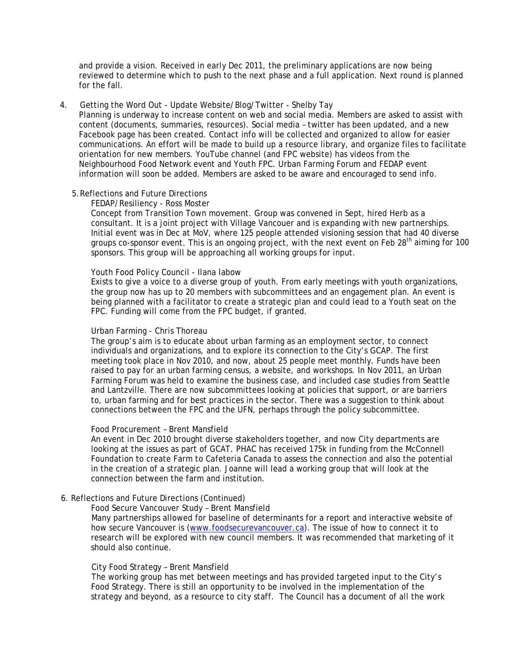and provide a vision. Received in early Dec 2011, the preliminary applications are now being reviewed to determine which to push to the next phase and a full application. Next round is planned for the fall.

## 4. Getting the Word Out - Update Website/Blog/Twitter - Shelby Tay

Planning is underway to increase content on web and social media. Members are asked to assist with content (documents, summaries, resources). Social media – twitter has been updated, and a new Facebook page has been created. Contact info will be collected and organized to allow for easier communications. An effort will be made to build up a resource library, and organize files to facilitate orientation for new members. YouTube channel (and FPC website) has videos from the Neighbourhood Food Network event and Youth FPC. Urban Farming Forum and FEDAP event information will soon be added. Members are asked to be aware and encouraged to send info.

# 5.Reflections and Future Directions

## FEDAP/Resiliency - Ross Moster

Concept from Transition Town movement. Group was convened in Sept, hired Herb as a consultant. It is a joint project with Village Vancouer and is expanding with new partnerships. Initial event was in Dec at MoV, where 125 people attended visioning session that had 40 diverse groups co-sponsor event. This is an ongoing project, with the next event on Feb 28<sup>th</sup> aiming for 100 sponsors. This group will be approaching all working groups for input.

## Youth Food Policy Council - Ilana labow

Exists to give a voice to a diverse group of youth. From early meetings with youth organizations, the group now has up to 20 members with subcommittees and an engagement plan. An event is being planned with a facilitator to create a strategic plan and could lead to a Youth seat on the FPC. Funding will come from the FPC budget, if granted.

# Urban Farming - Chris Thoreau

The group's aim is to educate about urban farming as an employment sector, to connect individuals and organizations, and to explore its connection to the City's GCAP. The first meeting took place in Nov 2010, and now, about 25 people meet monthly. Funds have been raised to pay for an urban farming census, a website, and workshops. In Nov 2011, an Urban Farming Forum was held to examine the business case, and included case studies from Seattle and Lantzville. There are now subcommittees looking at policies that support, or are barriers to, urban farming and for best practices in the sector. There was a suggestion to think about connections between the FPC and the UFN, perhaps through the policy subcommittee.

#### Food Procurement – Brent Mansfield

An event in Dec 2010 brought diverse stakeholders together, and now City departments are looking at the issues as part of GCAT. PHAC has received 175k in funding from the McConnell Foundation to create Farm to Cafeteria Canada to assess the connection and also the potential in the creation of a strategic plan. Joanne will lead a working group that will look at the connection between the farm and institution.

# 6. Reflections and Future Directions (Continued)

Food Secure Vancouver Study – Brent Mansfield

 Many partnerships allowed for baseline of determinants for a report and interactive website of how secure Vancouver is (www.foodsecurevancouver.ca). The issue of how to connect it to research will be explored with new council members. It was recommended that marketing of it should also continue.

### City Food Strategy – Brent Mansfield

 The working group has met between meetings and has provided targeted input to the City's Food Strategy. There is still an opportunity to be involved in the implementation of the strategy and beyond, as a resource to city staff. The Council has a document of all the work